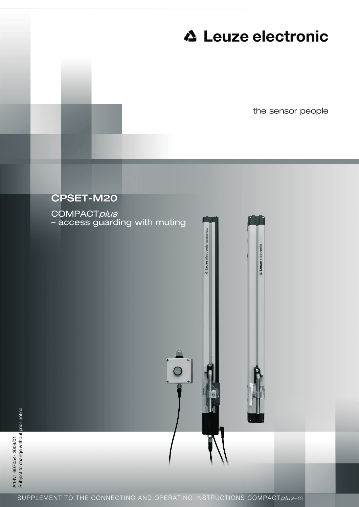# **∆ Leuze electronic**

**4** Leuze electronic

the sensor people



COMPACTplus – access guarding with muting

 $\circ$ 

**4** Leuze electronic co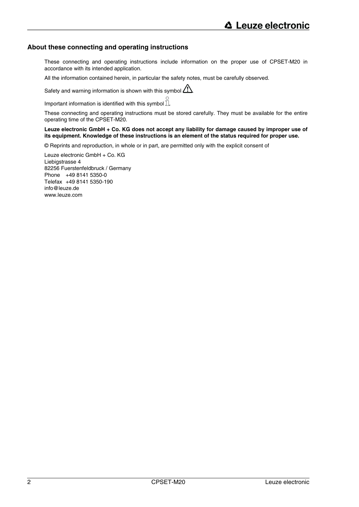# **About these connecting and operating instructions**

These connecting and operating instructions include information on the proper use of CPSET-M20 in accordance with its intended application.

All the information contained herein, in particular the safety notes, must be carefully observed.

Safety and warning information is shown with this symbol  $\langle \sum \rangle$ 

Important information is identified with this symbol  $\mathbb{\bar{I}}$ .

These connecting and operating instructions must be stored carefully. They must be available for the entire operating time of the CPSET-M20.

#### **Leuze electronic GmbH + Co. KG does not accept any liability for damage caused by improper use of its equipment. Knowledge of these instructions is an element of the status required for proper use.**

© Reprints and reproduction, in whole or in part, are permitted only with the explicit consent of

Leuze electronic GmbH + Co. KG Liebigstrasse 4 82256 Fuerstenfeldbruck / Germany Phone +49 8141 5350-0 Telefax +49 8141 5350-190 info@leuze.de www.leuze.com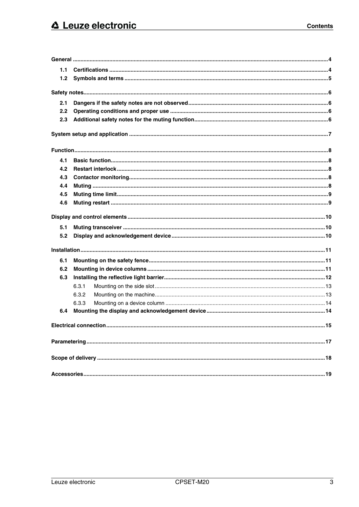| 1.1 |       |     |  |
|-----|-------|-----|--|
| 1.2 |       |     |  |
|     |       |     |  |
|     |       |     |  |
| 2.1 |       |     |  |
| 2.2 |       |     |  |
| 2.3 |       |     |  |
|     |       |     |  |
|     |       |     |  |
| 4.1 |       |     |  |
| 4.2 |       |     |  |
| 4.3 |       |     |  |
| 4.4 |       |     |  |
| 4.5 |       |     |  |
| 4.6 |       |     |  |
|     |       |     |  |
| 5.1 |       |     |  |
| 5.2 |       |     |  |
|     |       |     |  |
| 6.1 |       |     |  |
| 6.2 |       |     |  |
| 6.3 |       |     |  |
|     | 6.3.1 |     |  |
|     | 6.3.2 |     |  |
|     | 6.3.3 |     |  |
| 6.4 |       |     |  |
|     |       | .15 |  |
|     |       |     |  |
|     |       |     |  |
|     |       |     |  |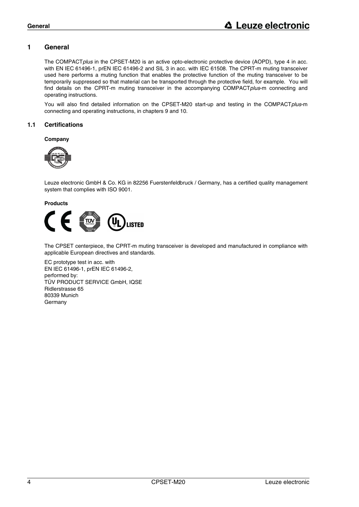# **1 General**

The COMPACT*plus* in the CPSET-M20 is an active opto-electronic protective device (AOPD), type 4 in acc. with EN IEC 61496-1, prEN IEC 61496-2 and SIL 3 in acc. with IEC 61508. The CPRT-m muting transceiver used here performs a muting function that enables the protective function of the muting transceiver to be temporarily suppressed so that material can be transported through the protective field, for example. You will find details on the CPRT-m muting transceiver in the accompanying COMPACT*plus*-m connecting and operating instructions.

You will also find detailed information on the CPSET-M20 start-up and testing in the COMPACT*plus*-m connecting and operating instructions, in chapters 9 and 10.

# **1.1 Certifications**

#### **Company**



Leuze electronic GmbH & Co. KG in 82256 Fuerstenfeldbruck / Germany, has a certified quality management system that complies with ISO 9001.

**Products**



The CPSET centerpiece, the CPRT-m muting transceiver is developed and manufactured in compliance with applicable European directives and standards.

EC prototype test in acc. with EN IEC 61496-1, prEN IEC 61496-2, performed by: TÜV PRODUCT SERVICE GmbH, IQSE Ridlerstrasse 65 80339 Munich Germany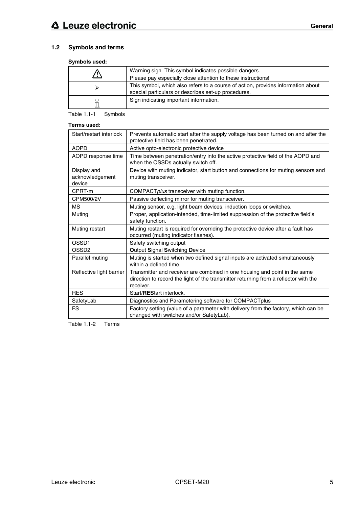# **1.2 Symbols and terms**

# **Symbols used:**

| Warning sign. This symbol indicates possible dangers.<br>Please pay especially close attention to these instructions!                   |
|-----------------------------------------------------------------------------------------------------------------------------------------|
| This symbol, which also refers to a course of action, provides information about<br>special particulars or describes set-up procedures. |
| Sign indicating important information.                                                                                                  |

Table 1.1-1 Symbols

#### **Terms used:**

| Start/restart interlock                  | Prevents automatic start after the supply voltage has been turned on and after the<br>protective field has been penetrated.                                                     |
|------------------------------------------|---------------------------------------------------------------------------------------------------------------------------------------------------------------------------------|
| <b>AOPD</b>                              | Active opto-electronic protective device                                                                                                                                        |
| AOPD response time                       | Time between penetration/entry into the active protective field of the AOPD and<br>when the OSSDs actually switch off.                                                          |
| Display and<br>acknowledgement<br>device | Device with muting indicator, start button and connections for muting sensors and<br>muting transceiver.                                                                        |
| CPRT-m                                   | COMPACT plus transceiver with muting function.                                                                                                                                  |
| CPM500/2V                                | Passive deflecting mirror for muting transceiver.                                                                                                                               |
| <b>MS</b>                                | Muting sensor, e.g. light beam devices, induction loops or switches.                                                                                                            |
| Muting                                   | Proper, application-intended, time-limited suppression of the protective field's<br>safety function.                                                                            |
| Muting restart                           | Muting restart is required for overriding the protective device after a fault has<br>occurred (muting indicator flashes).                                                       |
| OSSD1                                    | Safety switching output                                                                                                                                                         |
| OSSD <sub>2</sub>                        | <b>Output Signal Switching Device</b>                                                                                                                                           |
| Parallel muting                          | Muting is started when two defined signal inputs are activated simultaneously<br>within a defined time.                                                                         |
| Reflective light barrier                 | Transmitter and receiver are combined in one housing and point in the same<br>direction to record the light of the transmitter returning from a reflector with the<br>receiver. |
| <b>RES</b>                               | Start/REStart interlock.                                                                                                                                                        |
| SafetyLab                                | Diagnostics and Parametering software for COMPACTplus                                                                                                                           |
| <b>FS</b>                                | Factory setting (value of a parameter with delivery from the factory, which can be<br>changed with switches and/or SafetyLab).                                                  |

Table 1.1-2 Terms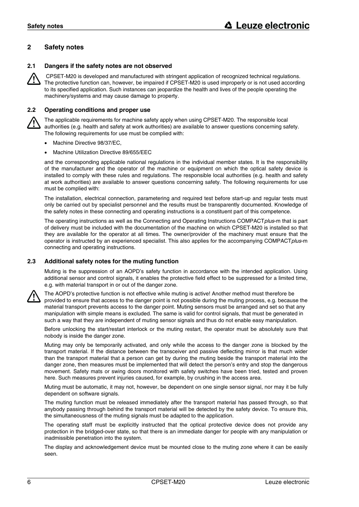# **2 Safety notes**

#### **2.1 Dangers if the safety notes are not observed**

 CPSET-M20 is developed and manufactured with stringent application of recognized technical regulations. The protective function can, however, be impaired if CPSET-M20 is used improperly or is not used according to its specified application. Such instances can jeopardize the health and lives of the people operating the machinery/systems and may cause damage to property.

#### **2.2 Operating conditions and proper use**

The applicable requirements for machine safety apply when using CPSET-M20. The responsible local authorities (e.g. health and safety at work authorities) are available to answer questions concerning safety. The following requirements for use must be complied with:

- Machine Directive 98/37/EC,
- Machine Utilization Directive 89/655/EEC

and the corresponding applicable national regulations in the individual member states. It is the responsibility of the manufacturer and the operator of the machine or equipment on which the optical safety device is installed to comply with these rules and regulations. The responsible local authorities (e.g. health and safety at work authorities) are available to answer questions concerning safety. The following requirements for use must be complied with:

The installation, electrical connection, parametering and required test before start-up and regular tests must only be carried out by specialist personnel and the results must be transparently documented. Knowledge of the safety notes in these connecting and operating instructions is a constituent part of this competence.

The operating instructions as well as the Connecting and Operating Instructions COMPACT*plus*-m that is part of delivery must be included with the documentation of the machine on which CPSET-M20 is installed so that they are available for the operator at all times. The owner/provider of the machinery must ensure that the operator is instructed by an experienced specialist. This also applies for the accompanying COMPACT*plus*-m connecting and operating instructions.

#### **2.3 Additional safety notes for the muting function**

Muting is the suppression of an AOPD's safety function in accordance with the intended application. Using additional sensor and control signals, it enables the protective field effect to be suppressed for a limited time, e.g. with material transport in or out of the danger zone.



The AOPD's protective function is not effective while muting is active! Another method must therefore be provided to ensure that access to the danger point is not possible during the muting process, e.g. because the material transport prevents access to the danger point. Muting sensors must be arranged and set so that any manipulation with simple means is excluded. The same is valid for control signals, that must be generated in such a way that they are independent of muting sensor signals and thus do not enable easy manipulation.

Before unlocking the start/restart interlock or the muting restart, the operator must be absolutely sure that nobody is inside the danger zone.

Muting may only be temporarily activated, and only while the access to the danger zone is blocked by the transport material. If the distance between the transceiver and passive deflecting mirror is that much wider than the transport material that a person can get by during the muting beside the transport material into the danger zone, then measures must be implemented that will detect the person's entry and stop the dangerous movement. Safety mats or swing doors monitored with safety switches have been tried, tested and proven here. Such measures prevent injuries caused, for example, by crushing in the access area.

Muting must be automatic, it may not, however, be dependent on one single sensor signal, nor may it be fully dependent on software signals.

The muting function must be released immediately after the transport material has passed through, so that anybody passing through behind the transport material will be detected by the safety device. To ensure this, the simultaneousness of the muting signals must be adapted to the application.

The operating staff must be explicitly instructed that the optical protective device does not provide any protection in the bridged-over state, so that there is an immediate danger for people with any manipulation or inadmissible penetration into the system.

The display and acknowledgement device must be mounted close to the muting zone where it can be easily seen.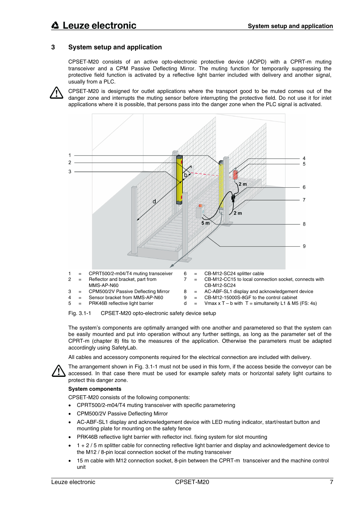# **3 System setup and application**

CPSET-M20 consists of an active opto-electronic protective device (AOPD) with a CPRT-m muting transceiver and a CPM Passive Deflecting Mirror. The muting function for temporarily suppressing the protective field function is activated by a reflective light barrier included with delivery and another signal, usually from a PLC.

CPSET-M20 is designed for outlet applications where the transport good to be muted comes out of the danger zone and interrupts the muting sensor before interrupting the protective field. Do not use it for inlet applications where it is possible, that persons pass into the danger zone when the PLC signal is activated.





The system's components are optimally arranged with one another and parametered so that the system can be easily mounted and put into operation without any further settings, as long as the parameter set of the CPRT-m (chapter 8) fits to the measures of the application. Otherwise the parameters must be adapted accordingly using SafetyLab.

All cables and accessory components required for the electrical connection are included with delivery.



The arrangement shown in Fig. 3.1-1 must not be used in this form, if the access beside the conveyor can be accessed. In that case there must be used for example safety mats or horizontal safety light curtains to protect this danger zone.

#### **System components**

CPSET-M20 consists of the following components:

- CPRT500/2-m04/T4 muting transceiver with specific parametering
- CPM500/2V Passive Deflecting Mirror
- AC-ABF-SL1 display and acknowledgement device with LED muting indicator, start/restart button and mounting plate for mounting on the safety fence
- PRK46B reflective light barrier with reflector incl. fixing system for slot mounting
- 1 + 2 / 5 m splitter cable for connecting reflective light barrier and display and acknowledgement device to the M12 / 8-pin local connection socket of the muting transceiver
- 15 m cable with M12 connection socket, 8-pin between the CPRT-m transceiver and the machine control unit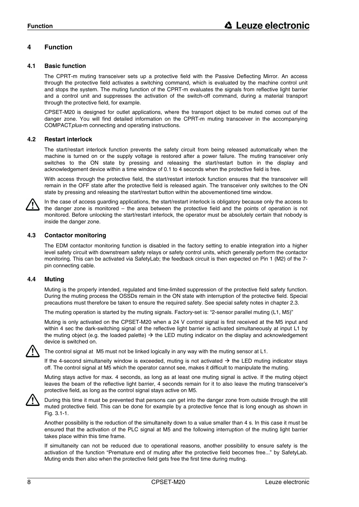# **4 Function**

#### **4.1 Basic function**

The CPRT-m muting transceiver sets up a protective field with the Passive Deflecting Mirror. An access through the protective field activates a switching command, which is evaluated by the machine control unit and stops the system. The muting function of the CPRT-m evaluates the signals from reflective light barrier and a control unit and suppresses the activation of the switch-off command, during a material transport through the protective field, for example.

CPSET-M20 is designed for outlet applications, where the transport object to be muted comes out of the danger zone. You will find detailed information on the CPRT-m muting transceiver in the accompanying COMPACT*plus*-m connecting and operating instructions.

#### **4.2 Restart interlock**

The start/restart interlock function prevents the safety circuit from being released automatically when the machine is turned on or the supply voltage is restored after a power failure. The muting transceiver only switches to the ON state by pressing and releasing the start/restart button in the display and acknowledgement device within a time window of 0.1 to 4 seconds when the protective field is free.

With access through the protective field, the start/restart interlock function ensures that the transceiver will remain in the OFF state after the protective field is released again. The transceiver only switches to the ON state by pressing and releasing the start/restart button within the abovementioned time window.



In the case of access guarding applications, the start/restart interlock is obligatory because only the access to the danger zone is monitored – the area between the protective field and the points of operation is not monitored. Before unlocking the start/restart interlock, the operator must be absolutely certain that nobody is inside the danger zone.

#### **4.3 Contactor monitoring**

The EDM contactor monitoring function is disabled in the factory setting to enable integration into a higher level safety circuit with downstream safety relays or safety control units, which generally perform the contactor monitoring. This can be activated via SafetyLab; the feedback circuit is then expected on Pin 1 (M2) of the 7 pin connecting cable.

#### **4.4 Muting**

Muting is the properly intended, regulated and time-limited suppression of the protective field safety function. During the muting process the OSSDs remain in the ON state with interruption of the protective field. Special precautions must therefore be taken to ensure the required safety. See special safety notes in chapter 2.3.

The muting operation is started by the muting signals. Factory-set is: "2-sensor parallel muting (L1, M5)"

Muting is only activated on the CPSET-M20 when a 24 V control signal is first received at the M5 input and within 4 sec the dark-switching signal of the reflective light barrier is activated simultaneously at input L1 by the muting object (e.g. the loaded palette)  $\rightarrow$  the LED muting indicator on the display and acknowledgement device is switched on.



The control signal at M5 must not be linked logically in any way with the muting sensor at L1.

If the 4-second simultaneity window is exceeded, muting is not activated  $\rightarrow$  the LED muting indicator stays off. The control signal at M5 which the operator cannot see, makes it difficult to manipulate the muting.

Muting stays active for max. 4 seconds, as long as at least one muting signal is active. If the muting object leaves the beam of the reflective light barrier, 4 seconds remain for it to also leave the muting transceiver's protective field, as long as the control signal stays active on M5.



During this time it must be prevented that persons can get into the danger zone from outside through the still muted protective field. This can be done for example by a protective fence that is long enough as shown in Fig. 3.1-1.

Another possibility is the reduction of the simultaneity down to a value smaller than 4 s. In this case it must be ensured that the activation of the PLC signal at M5 and the following interruption of the muting light barrier takes place within this time frame.

If simultaneity can not be reduced due to operational reasons, another possibility to ensure safety is the activation of the function "Premature end of muting after the protective field becomes free..." by SafetyLab. Muting ends then also when the protective field gets free the first time during muting.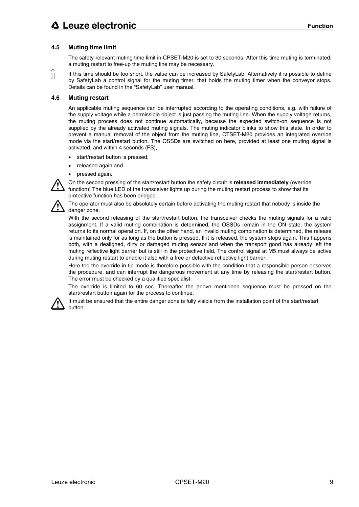# **4.5 Muting time limit**

The safety-relevant muting time limit in CPSET-M20 is set to 30 seconds. After this time muting is terminated; a muting restart to free-up the muting line may be necessary.

If this time should be too short, the value can be increased by SafetyLab. Alternatively it is possible to define Л by SafetyLab a control signal for the muting timer, that holds the muting timer when the conveyor stops. Details can be found in the "SafetyLab" user manual.

#### **4.6 Muting restart**

An applicable muting sequence can be interrupted according to the operating conditions, e.g. with failure of the supply voltage while a permissible object is just passing the muting line. When the supply voltage returns, the muting process does not continue automatically, because the expected switch-on sequence is not supplied by the already activated muting signals. The muting indicator blinks to show this state. In order to prevent a manual removal of the object from the muting line, CTSET-M20 provides an integrated override mode via the start/restart button. The OSSDs are switched on here, provided at least one muting signal is activated, and within 4 seconds (FS),

- start/restart button is pressed,
- released again and
- pressed again.

On the second pressing of the start/restart button the safety circuit is **released immediately** (override function)! The blue LED of the transceiver lights up during the muting restart process to show that its protective function has been bridged.



The operator must also be absolutely certain before activating the muting restart that nobody is inside the danger zone.

With the second releasing of the start/restart button, the transceiver checks the muting signals for a valid assignment. If a valid muting combination is determined, the OSSDs remain in the ON state; the system returns to its normal operation. If, on the other hand, an invalid muting combination is determined, the release is maintained only for as long as the button is pressed. If it is released, the system stops again. This happens both, with a dealigned, dirty or damaged muting sensor and when the transport good has already left the muting reflective light barrier but is still in the protective field. The control signal at M5 must always be active during muting restart to enable it also with a free or defective reflective light barrier.

Here too the override in tip mode is therefore possible with the condition that a responsible person observes the procedure, and can interrupt the dangerous movement at any time by releasing the start/restart button. The error must be checked by a qualified specialist.

The override is limited to 60 sec. Thereafter the above mentioned sequence must be pressed on the start/restart button again for the process to continue.



It must be ensured that the entire danger zone is fully visible from the installation point of the start/restart button.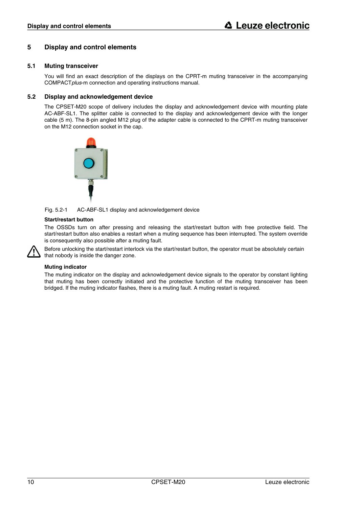# **5 Display and control elements**

#### **5.1 Muting transceiver**

You will find an exact description of the displays on the CPRT-m muting transceiver in the accompanying COMPACT*plus*-m connection and operating instructions manual.

#### **5.2 Display and acknowledgement device**

The CPSET-M20 scope of delivery includes the display and acknowledgement device with mounting plate AC-ABF-SL1. The splitter cable is connected to the display and acknowledgement device with the longer cable (5 m). The 8-pin angled M12 plug of the adapter cable is connected to the CPRT-m muting transceiver on the M12 connection socket in the cap.



Fig. 5.2-1 AC-ABF-SL1 display and acknowledgement device

#### **Start/restart button**

The OSSDs turn on after pressing and releasing the start/restart button with free protective field. The start/restart button also enables a restart when a muting sequence has been interrupted. The system override is consequently also possible after a muting fault.

Before unlocking the start/restart interlock via the start/restart button, the operator must be absolutely certain that nobody is inside the danger zone.

#### **Muting indicator**

The muting indicator on the display and acknowledgement device signals to the operator by constant lighting that muting has been correctly initiated and the protective function of the muting transceiver has been bridged. If the muting indicator flashes, there is a muting fault. A muting restart is required.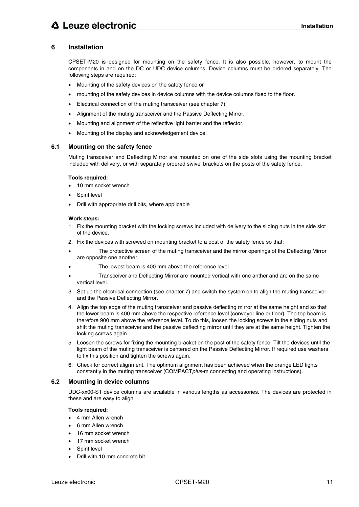# **6 Installation**

CPSET-M20 is designed for mounting on the safety fence. It is also possible, however, to mount the components in and on the DC or UDC device columns. Device columns must be ordered separately. The following steps are required:

- Mounting of the safety devices on the safety fence or
- mounting of the safety devices in device columns with the device columns fixed to the floor.
- Electrical connection of the muting transceiver (see chapter 7).
- Alignment of the muting transceiver and the Passive Deflecting Mirror.
- Mounting and alignment of the reflective light barrier and the reflector.
- Mounting of the display and acknowledgement device.

#### **6.1 Mounting on the safety fence**

Muting transceiver and Deflecting Mirror are mounted on one of the side slots using the mounting bracket included with delivery, or with separately ordered swivel brackets on the posts of the safety fence.

#### **Tools required:**

- 10 mm socket wrench
- Spirit level
- Drill with appropriate drill bits, where applicable

#### **Work steps:**

- 1. Fix the mounting bracket with the locking screws included with delivery to the sliding nuts in the side slot of the device.
- 2. Fix the devices with screwed on mounting bracket to a post of the safety fence so that:
- The protective screen of the muting transceiver and the mirror openings of the Deflecting Mirror are opposite one another.
- The lowest beam is 400 mm above the reference level.
- Transceiver and Deflecting Mirror are mounted vertical with one anther and are on the same vertical level.
- 3. Set up the electrical connection (see chapter 7) and switch the system on to align the muting transceiver and the Passive Deflecting Mirror.
- 4. Align the top edge of the muting transceiver and passive deflecting mirror at the same height and so that the lower beam is 400 mm above the respective reference level (conveyor line or floor). The top beam is therefore 900 mm above the reference level. To do this, loosen the locking screws in the sliding nuts and shift the muting transceiver and the passive deflecting mirror until they are at the same height. Tighten the locking screws again.
- 5. Loosen the screws for fixing the mounting bracket on the post of the safety fence. Tilt the devices until the light beam of the muting transceiver is centered on the Passive Deflecting Mirror. If required use washers to fix this position and tighten the screws again.
- 6. Check for correct alignment. The optimum alignment has been achieved when the orange LED lights constantly in the muting transceiver (COMPACT*plus*-m connecting and operating instructions).

#### **6.2 Mounting in device columns**

UDC-xx00-S1 device columns are available in various lengths as accessories. The devices are protected in these and are easy to align.

#### **Tools required:**

- 4 mm Allen wrench
- 6 mm Allen wrench
- 16 mm socket wrench
- 17 mm socket wrench
- Spirit level
- Drill with 10 mm concrete bit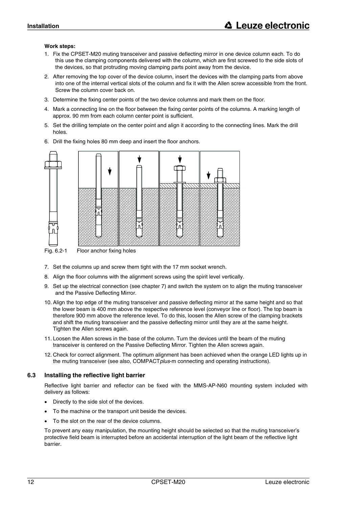#### **Work steps:**

- 1. Fix the CPSET-M20 muting transceiver and passive deflecting mirror in one device column each. To do this use the clamping components delivered with the column, which are first screwed to the side slots of the devices, so that protruding moving clamping parts point away from the device.
- 2. After removing the top cover of the device column, insert the devices with the clamping parts from above into one of the internal vertical slots of the column and fix it with the Allen screw accessible from the front. Screw the column cover back on.
- 3. Determine the fixing center points of the two device columns and mark them on the floor.
- 4. Mark a connecting line on the floor between the fixing center points of the columns. A marking length of approx. 90 mm from each column center point is sufficient.
- 5. Set the drilling template on the center point and align it according to the connecting lines. Mark the drill holes.



6. Drill the fixing holes 80 mm deep and insert the floor anchors.

7. Set the columns up and screw them tight with the 17 mm socket wrench.

- 8. Align the floor columns with the alignment screws using the spirit level vertically.
- 9. Set up the electrical connection (see chapter 7) and switch the system on to align the muting transceiver and the Passive Deflecting Mirror.
- 10. Align the top edge of the muting transceiver and passive deflecting mirror at the same height and so that the lower beam is 400 mm above the respective reference level (conveyor line or floor). The top beam is therefore 900 mm above the reference level. To do this, loosen the Allen screw of the clamping brackets and shift the muting transceiver and the passive deflecting mirror until they are at the same height. Tighten the Allen screws again.
- 11. Loosen the Allen screws in the base of the column. Turn the devices until the beam of the muting transceiver is centered on the Passive Deflecting Mirror. Tighten the Allen screws again.
- 12. Check for correct alignment. The optimum alignment has been achieved when the orange LED lights up in the muting transceiver (see also, COMPACT*plus*-m connecting and operating instructions).

#### **6.3 Installing the reflective light barrier**

Reflective light barrier and reflector can be fixed with the MMS-AP-N60 mounting system included with delivery as follows:

- Directly to the side slot of the devices.
- To the machine or the transport unit beside the devices.
- To the slot on the rear of the device columns.

To prevent any easy manipulation, the mounting height should be selected so that the muting transceiver's protective field beam is interrupted before an accidental interruption of the light beam of the reflective light barrier.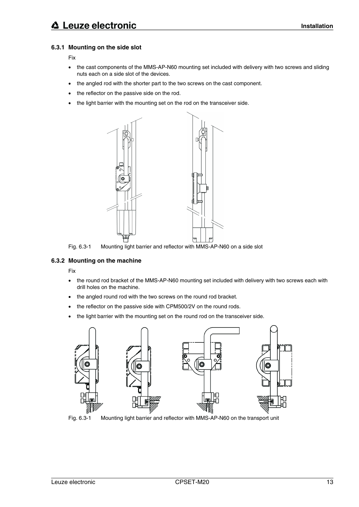# **6.3.1 Mounting on the side slot**

#### Fix

- the cast components of the MMS-AP-N60 mounting set included with delivery with two screws and sliding nuts each on a side slot of the devices.
- the angled rod with the shorter part to the two screws on the cast component.
- the reflector on the passive side on the rod.
- the light barrier with the mounting set on the rod on the transceiver side.



Fig. 6.3-1 Mounting light barrier and reflector with MMS-AP-N60 on a side slot

# **6.3.2 Mounting on the machine**

Fix

- the round rod bracket of the MMS-AP-N60 mounting set included with delivery with two screws each with drill holes on the machine.
- the angled round rod with the two screws on the round rod bracket.
- the reflector on the passive side with CPM500/2V on the round rods.
- the light barrier with the mounting set on the round rod on the transceiver side.



Fig. 6.3-1 Mounting light barrier and reflector with MMS-AP-N60 on the transport unit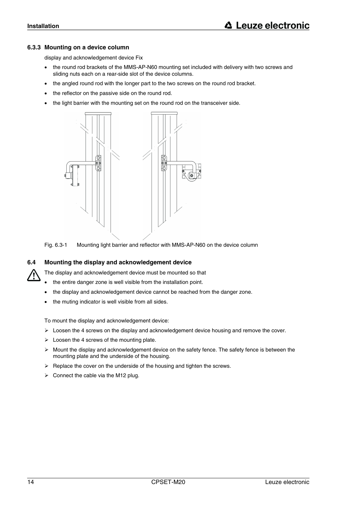#### **6.3.3 Mounting on a device column**

display and acknowledgement device Fix

- the round rod brackets of the MMS-AP-N60 mounting set included with delivery with two screws and sliding nuts each on a rear-side slot of the device columns.
- the angled round rod with the longer part to the two screws on the round rod bracket.
- the reflector on the passive side on the round rod.
- the light barrier with the mounting set on the round rod on the transceiver side.





#### **6.4 Mounting the display and acknowledgement device**

The display and acknowledgement device must be mounted so that

- the entire danger zone is well visible from the installation point.
- the display and acknowledgement device cannot be reached from the danger zone.
- the muting indicator is well visible from all sides.

To mount the display and acknowledgement device:

- $\triangleright$  Loosen the 4 screws on the display and acknowledgement device housing and remove the cover.
- $\triangleright$  Loosen the 4 screws of the mounting plate.
- $\triangleright$  Mount the display and acknowledgement device on the safety fence. The safety fence is between the mounting plate and the underside of the housing.
- $\triangleright$  Replace the cover on the underside of the housing and tighten the screws.
- $\triangleright$  Connect the cable via the M12 plug.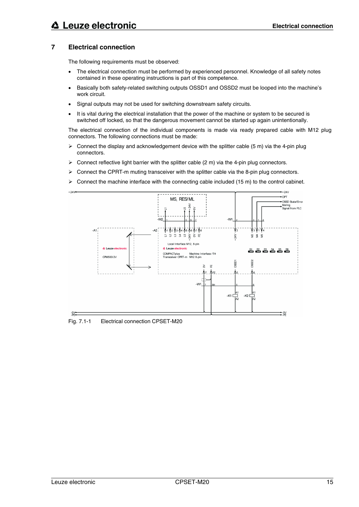# **△ Leuze electronic**

# **7 Electrical connection**

The following requirements must be observed:

- The electrical connection must be performed by experienced personnel. Knowledge of all safety notes contained in these operating instructions is part of this competence.
- Basically both safety-related switching outputs OSSD1 and OSSD2 must be looped into the machine's work circuit.
- Signal outputs may not be used for switching downstream safety circuits.
- It is vital during the electrical installation that the power of the machine or system to be secured is switched off locked, so that the dangerous movement cannot be started up again unintentionally.

The electrical connection of the individual components is made via ready prepared cable with M12 plug connectors. The following connections must be made:

- $\triangleright$  Connect the display and acknowledgement device with the splitter cable (5 m) via the 4-pin plug connectors.
- $\triangleright$  Connect reflective light barrier with the splitter cable (2 m) via the 4-pin plug connectors.
- $\triangleright$  Connect the CPRT-m muting transceiver with the splitter cable via the 8-pin plug connectors.
- Connect the machine interface with the connecting cable included (15 m) to the control cabinet.



Fig. 7.1-1 Electrical connection CPSET-M20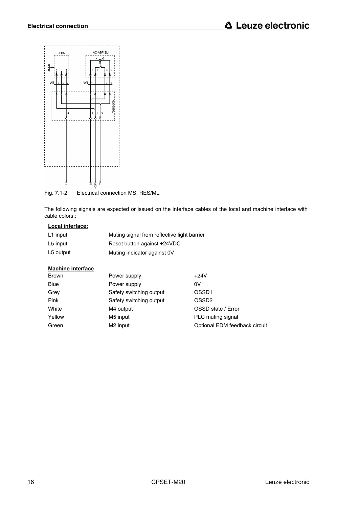

Fig. 7.1-2 Electrical connection MS, RES/ML

The following signals are expected or issued on the interface cables of the local and machine interface with cable colors.:

## **Local interface:**

| L1 input  | Muting signal from reflective light barrier |
|-----------|---------------------------------------------|
| L5 input  | Reset button against +24VDC                 |
| L5 output | Muting indicator against 0V                 |

## **Machine interface**

| <b>Brown</b> | Power supply            | $+24V$                        |
|--------------|-------------------------|-------------------------------|
| Blue         | Power supply            | 0V                            |
| Grey         | Safety switching output | OSSD <sub>1</sub>             |
| Pink         | Safety switching output | OSSD <sub>2</sub>             |
| White        | M4 output               | OSSD state / Error            |
| Yellow       | M5 input                | PLC muting signal             |
| Green        | M <sub>2</sub> input    | Optional EDM feedback circuit |
|              |                         |                               |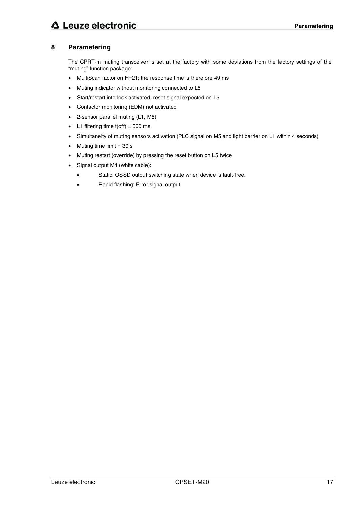# **8 Parametering**

The CPRT-m muting transceiver is set at the factory with some deviations from the factory settings of the "muting" function package:

- MultiScan factor on H=21; the response time is therefore 49 ms
- Muting indicator without monitoring connected to L5
- Start/restart interlock activated, reset signal expected on L5
- Contactor monitoring (EDM) not activated
- 2-sensor parallel muting (L1, M5)
- L1 filtering time  $t($ off $) = 500$  ms
- Simultaneity of muting sensors activation (PLC signal on M5 and light barrier on L1 within 4 seconds)
- Muting time limit  $= 30$  s
- Muting restart (override) by pressing the reset button on L5 twice
- Signal output M4 (white cable):
	- Static: OSSD output switching state when device is fault-free.
	- Rapid flashing: Error signal output.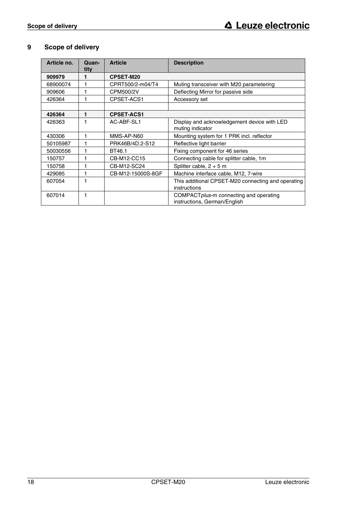# **9 Scope of delivery**

| Article no. | Quan-<br>tity | <b>Article</b>    | <b>Description</b>                                                      |
|-------------|---------------|-------------------|-------------------------------------------------------------------------|
| 909979      | 1             | <b>CPSET-M20</b>  |                                                                         |
| 68900074    | 1             | CPRT500/2-m04/T4  | Muting transceiver with M20 parametering                                |
| 909606      |               | CPM500/2V         | Deflecting Mirror for passive side                                      |
| 426364      |               | CPSET-ACS1        | Accessory set                                                           |
|             |               |                   |                                                                         |
| 426364      | 1             | <b>CPSET-ACS1</b> |                                                                         |
| 426363      | 1             | AC-ABF-SL1        | Display and acknowledgement device with LED<br>muting indicator         |
| 430306      |               | MMS-AP-N60        | Mounting system for 1 PRK incl. reflector                               |
| 50105987    | 1             | PRK46B/4D.2-S12   | Reflective light barrier                                                |
| 50030556    |               | BT46.1            | Fixing component for 46 series                                          |
| 150757      | 1             | CB-M12-CC15       | Connecting cable for splitter cable, 1m                                 |
| 150758      |               | CB-M12-SC24       | Splitter cable, $2 + 5$ m                                               |
| 429085      |               | CB-M12-15000S-8GF | Machine interface cable, M12, 7-wire                                    |
| 607054      | 1             |                   | This additional CPSET-M20 connecting and operating<br>instructions      |
| 607014      |               |                   | COMPACT plus-m connecting and operating<br>instructions, German/English |